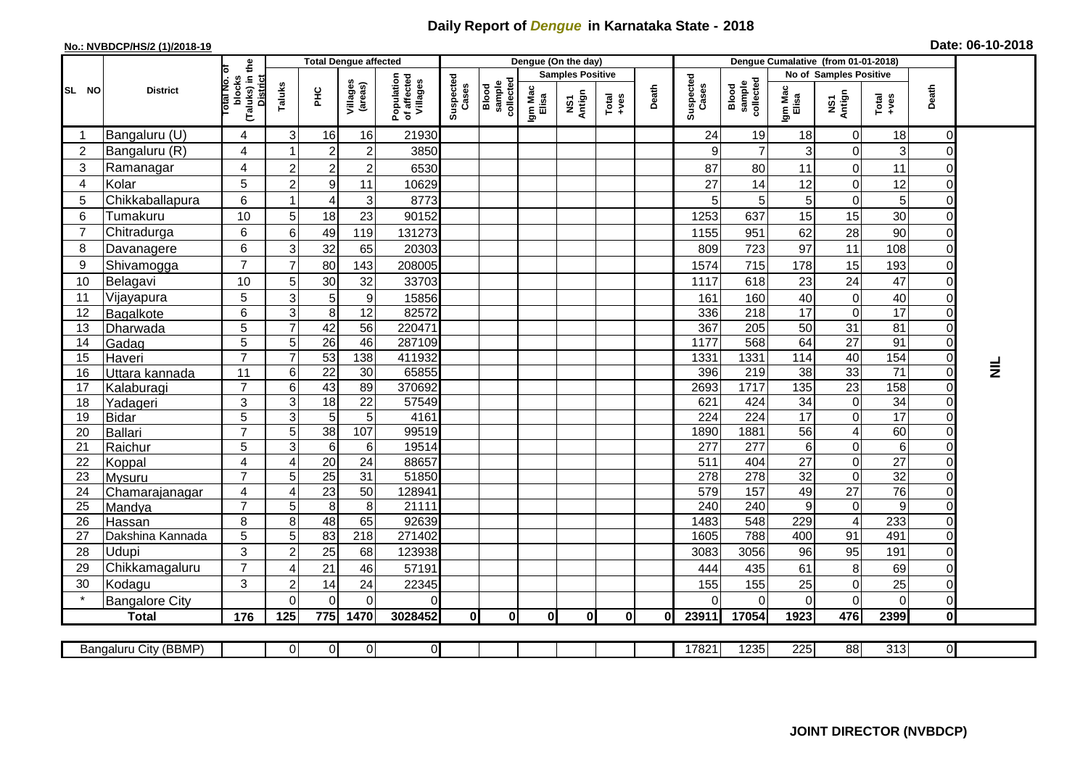## **Daily Report of** *Dengue* **in Karnataka State - 2018**

## **No.: NVBDCP/HS/2 (1)/2018-19 Date: 06-10-2018**

|                                                                                                                                                   |                                 |                                                       | <b>Total Dengue affected</b> |                                    |                      |                                       |                    |                              |                         | Dengue (On the day) |          |       |                    |                              |                        |                                 |                          |                            |           |
|---------------------------------------------------------------------------------------------------------------------------------------------------|---------------------------------|-------------------------------------------------------|------------------------------|------------------------------------|----------------------|---------------------------------------|--------------------|------------------------------|-------------------------|---------------------|----------|-------|--------------------|------------------------------|------------------------|---------------------------------|--------------------------|----------------------------|-----------|
|                                                                                                                                                   |                                 |                                                       |                              |                                    |                      |                                       |                    |                              | <b>Samples Positive</b> |                     |          |       |                    |                              | No of Samples Positive |                                 |                          |                            |           |
| SL NO                                                                                                                                             | <b>District</b>                 | (Taluks) in the<br>District<br>lotal No. of<br>blocks | Taluks                       | PНC                                | Villages<br>(areas)  | Population<br>of affected<br>Villages | Suspected<br>Cases | Blood<br>sample<br>collected | Igm Mac<br>Elisa        | NS1<br>Antign       | $Totael$ | Death | Suspected<br>Cases | Blood<br>sample<br>collected | Igm Mac<br>Elisa       | NS1<br>Antign                   | Total<br>+ves            | Death                      |           |
|                                                                                                                                                   | Bangaluru (U)                   | 4                                                     | 3                            | 16                                 | 16                   | 21930                                 |                    |                              |                         |                     |          |       | 24                 | 19                           | 18                     | $\mathbf 0$                     | 18                       | $\Omega$                   |           |
| $\overline{2}$                                                                                                                                    | Bangaluru (R)                   | 4                                                     |                              | $\boldsymbol{2}$                   | $\overline{c}$       | 3850                                  |                    |                              |                         |                     |          |       | 9                  | $\overline{7}$               | 3                      | $\boldsymbol{0}$                | 3                        | 0                          |           |
| 3                                                                                                                                                 | Ramanagar                       | $\overline{4}$                                        | $\overline{2}$               | $\overline{2}$                     | $\overline{c}$       | 6530                                  |                    |                              |                         |                     |          |       | 87                 | 80                           | 11                     | $\mathbf 0$                     | 11                       | $\Omega$                   |           |
| $\overline{4}$                                                                                                                                    | Kolar                           | 5                                                     | $\overline{2}$               | $\boldsymbol{9}$                   | 11                   | 10629                                 |                    |                              |                         |                     |          |       | 27                 | 14                           | 12                     | $\mathbf 0$                     | 12                       | $\Omega$                   |           |
| 5                                                                                                                                                 | Chikkaballapura                 | 6                                                     | 1                            | 4                                  | 3                    | 8773                                  |                    |                              |                         |                     |          |       |                    | $\mathbf 5$                  | 5                      | $\boldsymbol{0}$                | 5                        | $\mathbf 0$                |           |
| 6                                                                                                                                                 | Tumakuru                        | 10                                                    | 5                            | 18                                 | 23                   | 90152                                 |                    |                              |                         |                     |          |       | 1253               | 637                          | 15                     | 15                              | 30                       | $\Omega$                   |           |
| 7                                                                                                                                                 | Chitradurga                     | 6                                                     | $\,6$                        | 49                                 | 119                  | 131273                                |                    |                              |                         |                     |          |       | 1155               | 951                          | 62                     | 28                              | 90                       | $\Omega$                   |           |
| 8                                                                                                                                                 | Davanagere                      | 6                                                     | 3                            | 32                                 | 65                   | 20303                                 |                    |                              |                         |                     |          |       | 809                | 723                          | 97                     | 11                              | 108                      | $\overline{0}$             |           |
| 9                                                                                                                                                 | Shivamogga                      | $\overline{7}$                                        | $\overline{7}$               | 80                                 | 143                  | 208005                                |                    |                              |                         |                     |          |       | 1574               | 715                          | 178                    | 15                              | 193                      | $\Omega$                   |           |
| 10                                                                                                                                                | Belagavi                        | 10                                                    | 5                            | 30                                 | 32                   | 33703                                 |                    |                              |                         |                     |          |       | 1117               | 618                          | 23                     | 24                              | 47                       | $\mathbf 0$                |           |
| 11                                                                                                                                                | Vijayapura                      | 5                                                     | 3                            | 5                                  | $\boldsymbol{9}$     | 15856                                 |                    |                              |                         |                     |          |       | 161                | 160                          | 40                     | $\mathbf 0$                     | 40                       | $\mathbf 0$                |           |
| 12                                                                                                                                                | Bagalkote                       | 6                                                     | 3                            | 8                                  | 12                   | 82572                                 |                    |                              |                         |                     |          |       | 336                | 218                          | 17                     | $\mathbf 0$                     | $\overline{17}$          | $\Omega$                   |           |
| 13                                                                                                                                                | Dharwada                        | 5                                                     | $\overline{7}$               | 42                                 | $\overline{56}$      | 220471                                |                    |                              |                         |                     |          |       | 367                | 205                          | 50                     | 31                              | $\overline{81}$          | $\Omega$                   |           |
| 14                                                                                                                                                | Gadag                           | $\overline{5}$                                        | 5                            | $\overline{26}$                    | 46                   | 287109                                |                    |                              |                         |                     |          |       | 1177               | 568                          | 64                     | $\overline{27}$                 | 91                       | $\Omega$                   |           |
| 15                                                                                                                                                | Haveri                          | $\overline{7}$                                        | $\overline{7}$               | 53                                 | 138                  | 411932                                |                    |                              |                         |                     |          |       | 1331               | 1331                         | 114                    | 40                              | 154                      | $\overline{0}$             |           |
| 16                                                                                                                                                | Uttara kannada                  | 11                                                    | $\,6$                        | $\overline{22}$                    | 30                   | 65855                                 |                    |                              |                         |                     |          |       | 396                | 219                          | $\overline{38}$        | 33                              | $\overline{71}$          | $\Omega$                   | $\vec{z}$ |
| 17                                                                                                                                                | Kalaburagi                      | $\overline{7}$                                        | $6\phantom{1}6$              | 43                                 | 89                   | 370692                                |                    |                              |                         |                     |          |       | 2693               | 1717                         | 135                    | $\overline{23}$                 | 158                      | 0                          |           |
| 18                                                                                                                                                | Yadageri                        | 3                                                     | 3                            | 18                                 | 22                   | 57549                                 |                    |                              |                         |                     |          |       | 621                | 424                          | 34                     | $\mathbf 0$                     | 34                       | $\Omega$                   |           |
| 19                                                                                                                                                | <b>Bidar</b>                    | 5                                                     | $\overline{3}$               | $\overline{5}$                     | $\overline{5}$       | 4161                                  |                    |                              |                         |                     |          |       | $\overline{224}$   | $\overline{224}$             | 17                     | $\overline{0}$                  | $\overline{17}$          | $\Omega$                   |           |
| 20                                                                                                                                                | Ballari                         | $\overline{7}$                                        | 5                            | 38                                 | 107                  | 99519                                 |                    |                              |                         |                     |          |       | 1890               | 1881                         | $\overline{56}$        | $\overline{\mathbf{4}}$         | 60                       | $\mathbf 0$                |           |
| 21<br>22                                                                                                                                          | Raichur                         | 5<br>$\overline{\mathbf{4}}$                          | 3<br>4                       | $6\phantom{1}6$<br>$\overline{20}$ | 6<br>$\overline{24}$ | 19514<br>88657                        |                    |                              |                         |                     |          |       | 277<br>511         | 277<br>404                   | 6<br>$\overline{27}$   | $\boldsymbol{0}$<br>$\mathbf 0$ | $\,6$<br>$\overline{27}$ | $\mathbf 0$<br>$\mathbf 0$ |           |
| 23                                                                                                                                                | Koppal                          | $\overline{7}$                                        | 5                            | $\overline{25}$                    | $\overline{31}$      | 51850                                 |                    |                              |                         |                     |          |       | 278                | 278                          | $\overline{32}$        | $\mathbf 0$                     | 32                       | $\Omega$                   |           |
| 24                                                                                                                                                | <b>Mysuru</b><br>Chamarajanagar | 4                                                     | $\overline{4}$               | 23                                 | $\overline{50}$      | 128941                                |                    |                              |                         |                     |          |       | 579                | 157                          | 49                     | $\overline{27}$                 | 76                       | $\mathbf 0$                |           |
| 25                                                                                                                                                | Mandya                          | $\overline{7}$                                        | 5                            | $\overline{8}$                     | 8                    | 21111                                 |                    |                              |                         |                     |          |       | 240                | 240                          | 9                      | $\pmb{0}$                       | 9                        | $\mathbf 0$                |           |
| 26                                                                                                                                                | Hassan                          | 8                                                     | 8                            | 48                                 | 65                   | 92639                                 |                    |                              |                         |                     |          |       | 1483               | 548                          | 229                    | $\overline{\mathcal{A}}$        | 233                      | $\mathbf 0$                |           |
| 27                                                                                                                                                | Dakshina Kannada                | 5                                                     | $\sqrt{5}$                   | 83                                 | $\overline{218}$     | 271402                                |                    |                              |                         |                     |          |       | 1605               | 788                          | 400                    | 91                              | 491                      | $\overline{0}$             |           |
| 28                                                                                                                                                | Udupi                           | 3                                                     | $\overline{2}$               | 25                                 | 68                   | 123938                                |                    |                              |                         |                     |          |       | 3083               | 3056                         | 96                     | 95                              | 191                      | $\Omega$                   |           |
| 29                                                                                                                                                | Chikkamagaluru                  | $\overline{7}$                                        | 4                            | 21                                 | 46                   | 57191                                 |                    |                              |                         |                     |          |       | 444                | 435                          | 61                     | 8                               | 69                       | $\Omega$                   |           |
| 30                                                                                                                                                | Kodagu                          | 3                                                     | $\overline{c}$               | 14                                 | 24                   | 22345                                 |                    |                              |                         |                     |          |       | 155                | 155                          | 25                     | $\pmb{0}$                       | 25                       | $\mathbf 0$                |           |
|                                                                                                                                                   | <b>Bangalore City</b>           |                                                       | $\Omega$                     | $\mathbf{0}$                       | $\Omega$             | 0                                     |                    |                              |                         |                     |          |       |                    | $\Omega$                     | 0                      | $\mathbf 0$                     | $\mathbf 0$              | $\overline{0}$             |           |
|                                                                                                                                                   | <b>Total</b>                    | 176                                                   | 125                          | 775                                | 1470                 | 3028452                               | 0                  | $\mathbf{0}$                 | 0I                      | $\mathbf{0}$        | 0I       | 0l    | 23911              | 17054                        | 1923                   | 476                             | 2399                     | Οl                         |           |
|                                                                                                                                                   |                                 |                                                       |                              |                                    |                      |                                       |                    |                              |                         |                     |          |       |                    |                              |                        |                                 |                          |                            |           |
| 0 <br>17821<br>1235<br>225<br>88<br>313<br>$\overline{\mathsf{d}}$<br>Bangaluru City (BBMP)<br>$\overline{0}$<br>$\overline{0}$<br>$\overline{0}$ |                                 |                                                       |                              |                                    |                      |                                       |                    |                              |                         |                     |          |       |                    |                              |                        |                                 |                          |                            |           |